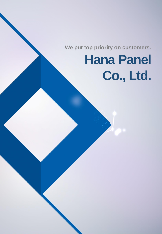**We put top priority on customers.**

# **Hana Panel Co., Ltd.**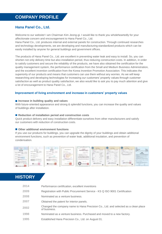#### **Hana Panel Co., Ltd.**

Welcome to our website! I am Chairman Kim Jeong-gi. I would like to thank you wholeheartedly for your affectionate concern and encouragement to Hana Panel Co., Ltd.

Hana Panel Co., Ltd. produces internal and external panels for construction. Through continued researches and technology developments, we are developing and manufacturing standardized products which can be easily installed by anyone for general buildings and government offices.

The products of Hana Panel Co., Ltd. are excellent in preventing water leak and easy to install. So, you can shorten not only delivery time but also installation period, thus reducing construction costs. In addition, in order to satisfy customers and secure the reliability of the products, we have also obtained the certification for the quality management system, the performance certification from the Small and Medium Business Administration, and the excellent invention certification from the Korea Invention Promotion Association. This indicates the superiority of our products and means that customers can use them without any worries. As we will keep researching and developing technologies for increasing our customers' property values through customer satisfaction as well as product quality satisfaction, we also would like to ask you to pay much attention and give a lot of encouragement to Hana Panel Co., Ltd.

#### **Improvement of living environment and increase in customers' property values**

#### **Increase in building quality and values**

With future-oriented appearance and strong & splendid functions, you can increase the quality and values of buildings after installation.

#### ■ Reduction of installation period and construction costs

Quick product delivery and easy installation differentiate ourselves from other manufacturers and satisfy our customers with reduction of construction costs.

#### ■ Other additional environment functions

If you use our products for buildings, you can upgrade the dignity of your buildings and obtain additional environment functions, such as prevention of water leak, additional insulation, and prevention of condensation.



## **HISTORY**

| 2014 | Performance certification, excellent inventions                                                    |
|------|----------------------------------------------------------------------------------------------------|
| 2009 | Registration with Public Procurement Service - KS Q ISO 9001 Certification                         |
| 2008 | Nominated as a venture business.                                                                   |
| 2007 | Obtained the patent for interior panels.                                                           |
| 2002 | Changed the company name to Hana Precision Co., Ltd. and selected as a clean place<br>of business. |
| 1998 | Nominated as a venture business. Purchased and moved to a new factory.                             |
| 1995 | Established Hana Precision Co., Ltd. on August 01.                                                 |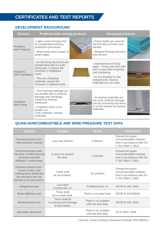# **CERTIFICATES AND TEST REPORTS**

## **DEVELOPMENT BACKGROUND**

| <b>Division</b>               | <b>Problems with existing products</b>                                                                                                                                                                        | <b>Developed products</b>                                                                                                                                                                 |  |
|-------------------------------|---------------------------------------------------------------------------------------------------------------------------------------------------------------------------------------------------------------|-------------------------------------------------------------------------------------------------------------------------------------------------------------------------------------------|--|
| Problems<br>with Products     | - Labor costs increase due<br>to complicated and long<br>production processes.<br>- Water leaks due to gaps at<br>panel edges.                                                                                | - Press molds are used for<br>the first time at home and<br>abroad<br>- Stepped forming and all-in-<br>one corners                                                                        |  |
| Problems<br>With Installation | - As the fixing structures are<br>complicated with a 4-side<br>fixing type, it causes the<br>increase in installation<br>costs.<br>- The use of backup<br>materials causes the<br>increase in material costs. | - Improvement of fixing<br>types - Fixing only one side<br>with screws after inserting<br>and combining.<br>- As it is finished on the<br>stepped part, backup<br>materials are not used. |  |
| Problems<br><b>With Using</b> | - The finishing materials are<br>not durable due to artificial<br>damage and shrinkage<br>caused by thermal<br>expansion.<br>- Problems when a fire<br>breaks out.<br>Core materials, backup<br>materials.    | - As backup materials are<br>not used, artificial damage<br>can be prevented and there<br>is no fire caused by backup<br>materials.                                                       |  |

## **QUASI-NONCOMBUSTIBLE AND WIND PRESSURE TEST DATA**

| <b>Test item</b>                                                                                                                 | <b>Standard</b>                                            | <b>Result</b>                              | <b>Test method</b>                                                                               |
|----------------------------------------------------------------------------------------------------------------------------------|------------------------------------------------------------|--------------------------------------------|--------------------------------------------------------------------------------------------------|
| Thermal emission test -<br>Total emission calories                                                                               | Less than $8MJ/m2$                                         | $0.3$ MJ/m <sup>2</sup>                    | Passed the quasi-<br>noncombustible material<br>test in accordance with KS<br>F ISO 5660-1 2003. |
| Thermal emission test -<br>The time in which thermal<br>emission exceeds<br>200kw/m <sup>2</sup> continuously.                   | It must not exceed<br>the time.                            | 0 second                                   | Passed the quasi-<br>noncombustible material<br>test in accordance with KS<br>F ISO 5660-1 2003. |
| Thermal emission test -<br>Cracks, holes, and<br>melting which penetrate<br>the test body and are<br>harmful to fire prevention. | There shall<br>be no problem.                              | No problem                                 | Passed the quasi-<br>noncombustible material<br>test in accordance with KS<br>F ISO 5660-1 2003. |
| Airtightness test                                                                                                                | Less than<br>$0.0183m3/h$ , m <sup>2</sup>                 | 0.0066m3/min, $m^2$                        | ASTM E-283: 2004                                                                                 |
| Water tightness test                                                                                                             | There shall<br>be no water leak.                           | There is no water leak.                    | ASTM E-3312000&J                                                                                 |
| Wind pressure test                                                                                                               | There shall be<br>no missing and damage<br>to test bodies. | There is no problem<br>with the test body. | ASTM E-330: 2014                                                                                 |
| Salt water spray test                                                                                                            |                                                            | There is no problem<br>with the test body. | KS D 9502: 2009                                                                                  |

<Source: Korea Testing & Research Institute TBS-000251>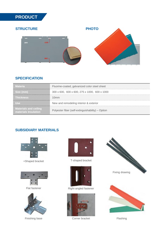# **PRODUCT**

## **STRUCTURE**



## **SPECIFICATION**

| <b>Materia</b>                                       | Fluorine-coated, galvanized color steel sheet     |
|------------------------------------------------------|---------------------------------------------------|
| Size (mm)                                            | 300 x 600, 600 x 600, 275 x 1000, 600 x 1000      |
| <b>Thickness</b>                                     | 10mm                                              |
| - Use                                                | New and remodeling interior & exterior            |
| <b>Materials and ceiling</b><br>materials Insulation | Polyester fiber (self-extinguishability) – Option |

## **SUBSIDIARY MATERIALS**



+Shaped bracket



Flat fastener



Finishing base



T-shaped bracket



Right-angled fastener



Corner bracket





Flashing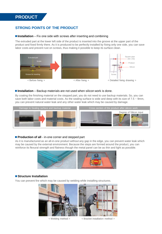## **PRODUCT**

#### **STRONG POINTS OF THE PRODUCT**

#### ■ **Installation** – Fix one side with screws after inserting and combining

The extruded part at the lower left side of the product is inserted into the groove at the upper part of the product and fixed firmly there. As it is produced to be perfectly installed by fixing only one side, you can save labor costs and prevent rust on screws, thus making it possible to keep its surface clean.



#### **Installation** – Backup materials are not used when silicon work is done.

By coating the finishing material on the stepped part, you do not need to use backup materials. So, you can save both labor costs and material costs. As the sealing surface is wide and deep with its size of  $7.5 \sim 9$ mm, you can prevent natural water leak and any other water leak which may be caused by damage.



#### **Production of all** - in-one corner and stepped part

As it is manufactured as an all-in-one product without any gap in the edge, you can prevent water leak which may be caused by the external environment. Because the steps are formed around the product, you can reinforce its flexural strength and flatness though the metal panel can be as thin and light as possible.



#### **Structure Installation**

You can prevent fire which may be caused by welding while installing structures.



< Welding method > < Bracket installation method >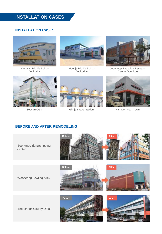# **INSTALLATION CASES**

#### **INSTALLATION CASES**



Yangsan Middle School Auditorium



Hongje Middle School Auditorium



Jeongeup Radiation Research Center Dormitory







Seosan CGV **Gimje Intake Station** Namwon Mart Town

## **BEFORE AND AFTER REMODELING**





Wooseong Bowling Alley





**Before After**